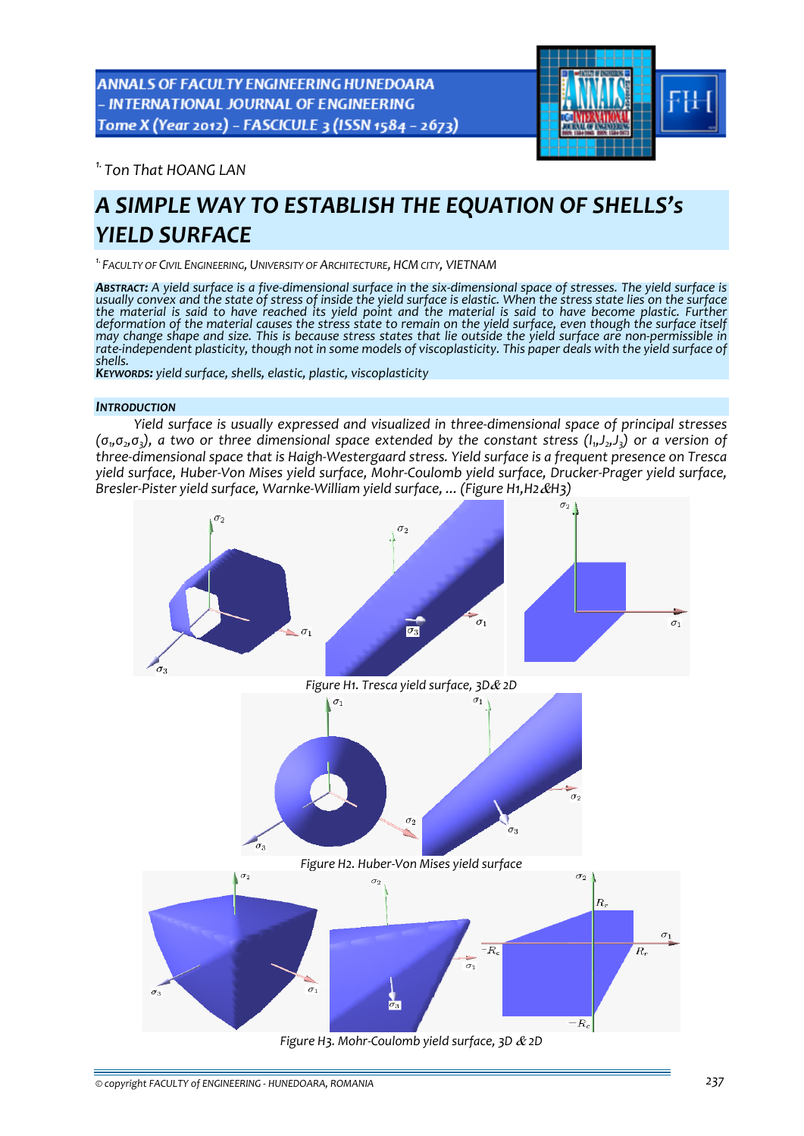ANNALS OF FACULTY ENGINEERING HUNEDOARA - INTERNATIONAL JOURNAL OF ENGINEERING Tome X (Year 2012) - FASCICULE 3 (ISSN 1584 - 2673)



*1. Ton That HOANG LAN* 

# *A SIMPLE WAY TO ESTABLISH THE EQUATION OF SHELLS's YIELD SURFACE*

*1.FACULTY OF CIVIL ENGINEERING, UNIVERSITY OF ARCHITECTURE, HCM CITY, VIETNAM*

ABSTRACT: A yield surface is a five-dimensional surface in the six-dimensional space of stresses. The yield surface is usually convex and the state of stress of inside the yield surface is elastic. When the stress state li the material is said to have reached its yield point and the material is said to have become plastic. Further deformation of the material causes the stress state to remain on the yield surface, even though the surface itself may change shape and size. This is because stress states that lie outside the yield surface are non-permissible in rate-independent plasticity, though not in some models of viscoplasticity. This paper deals with the yield surface of<br>shells.<br>Keyworps: yield surface, shells, elastic, plastic, viscoplasticity

# *INTRODUCTION*

*Yield surface is usually expressed and visualized in three‐dimensional space of principal stresses*  $(\sigma_1, \sigma_2, \sigma_3)$ , a two or three dimensional space extended by the constant stress  $(l_1, l_2, l_3)$  or a version of three-dimensional space that is Haigh-Westergaard stress. Yield surface is a frequent presence on Tresca vield surface, Huber-Von Mises vield surface, Mohr-Coulomb vield surface, Drucker-Prager vield surface, *Bresler‐Pister yield surface, Warnke‐William yield surface, ... (Figure H1,H2*&*H3)*

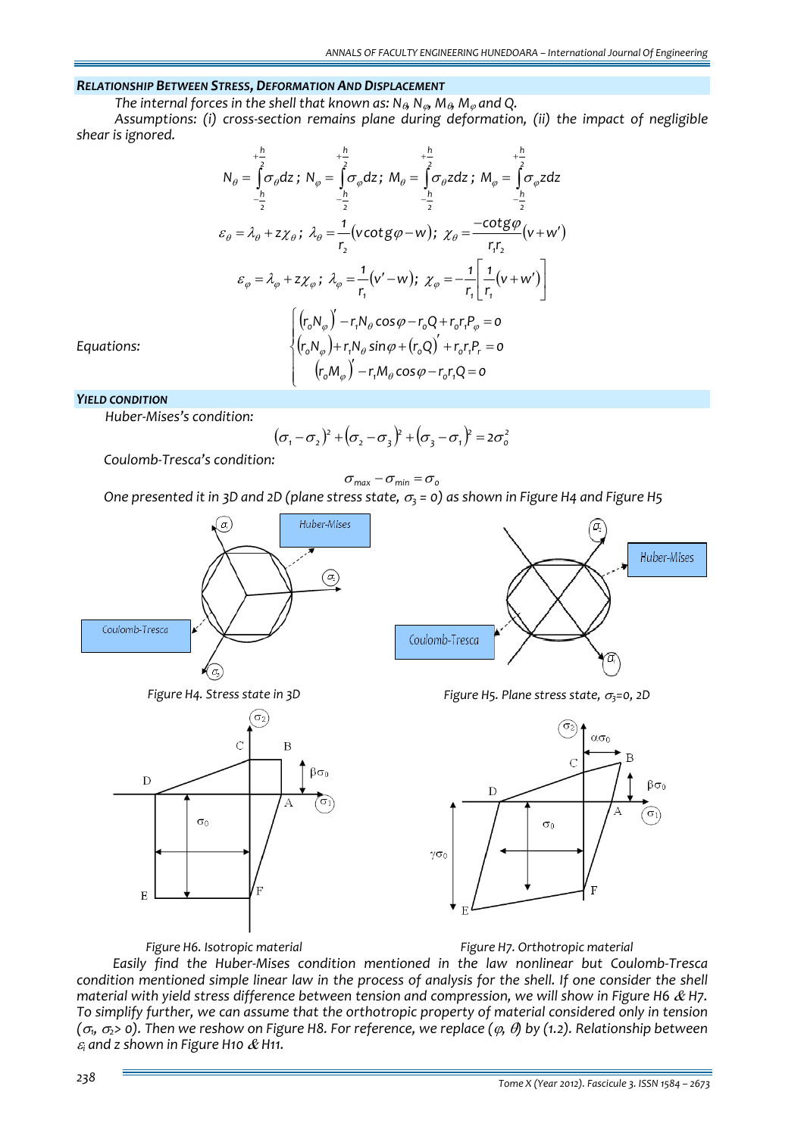## *RELATIONSHIP BETWEEN STRESS, DEFORMATION AND DISPLACEMENT*

*The internal forces in the shell that known as: N*θ*, N*ϕ*, M*θ*, M*<sup>ϕ</sup> *and Q.*

*Assumptions: (i) cross‐section remains plane during deformation, (ii) the impact of negligible shear is ignored.*

$$
N_{\theta} = \int_{-\frac{h}{2}}^{\frac{h}{2}} \sigma_{\theta} dz; N_{\varphi} = \int_{-\frac{h}{2}}^{\frac{h}{2}} \sigma_{\varphi} dz; M_{\theta} = \int_{-\frac{h}{2}}^{\frac{h}{2}} \sigma_{\theta} z dz; M_{\varphi} = \int_{-\frac{h}{2}}^{\frac{h}{2}} \sigma_{\varphi} z dz
$$
  
\n
$$
\varepsilon_{\theta} = \lambda_{\theta} + z \chi_{\theta}; \lambda_{\theta} = \frac{1}{r_{2}} (v \cot g \varphi - w); \chi_{\theta} = \frac{-\cot g \varphi}{r_{1} r_{2}} (v + w')
$$
  
\n
$$
\varepsilon_{\varphi} = \lambda_{\varphi} + z \chi_{\varphi}; \lambda_{\varphi} = \frac{1}{r_{1}} (v' - w); \chi_{\varphi} = -\frac{1}{r_{1}} \left[ \frac{1}{r_{1}} (v + w') \right]
$$
  
\n
$$
\left[ \left( r_{0} N_{\varphi} \right)' - r_{1} N_{\theta} \cos \varphi - r_{0} Q + r_{0} r_{1} P_{\varphi} = 0 \right]
$$
  
\n
$$
\left[ \left( r_{0} N_{\varphi} \right)' - r_{1} N_{\theta} \sin \varphi + \left( r_{0} Q \right)' + r_{0} r_{1} P_{\tau} = 0 \right]
$$
  
\n
$$
\left[ \left( r_{0} M_{\varphi} \right)' - r_{1} M_{\theta} \cos \varphi - r_{0} r_{1} Q = 0 \right]
$$

*Equations:* 

#### *YIELD CONDITION*

*Huber‐Mises's condition:*

$$
(\sigma_1 - \sigma_2)^2 + (\sigma_2 - \sigma_3)^2 + (\sigma_3 - \sigma_1)^2 = 2\sigma_0^2
$$

 *Coulomb‐Tresca's condition:*

$$
\sigma_{\text{max}} - \sigma_{\text{min}} = \sigma_{\text{o}}
$$

One presented it in 3D and 2D (plane stress state,  $\sigma_3$  = 0) as shown in Figure H4 and Figure H5









*Figure H4. Stress state in 3D Figure H5. Plane stress state,* <sup>σ</sup>*3=0, 2D*



*Figure H6. Isotropic material Figure H7. Orthotropic material*

*Easily find the Huber‐Mises condition mentioned in the law nonlinear but Coulomb‐Tresca* condition mentioned simple linear law in the process of analysis for the shell. If one consider the shell *material with yield stress difference between tension and compression, we will show in Figure H6* & *H7. To simplify further, we can assume that the orthotropic property of material considered only in tension*  $(\sigma_1, \sigma_2)$  o). Then we reshow on Figure H8. For reference, we replace ( $\varphi$ ,  $\theta$ ) by (1.2). Relationship between <sup>ε</sup>*<sup>i</sup> and z shown in Figure H10* & *H11.*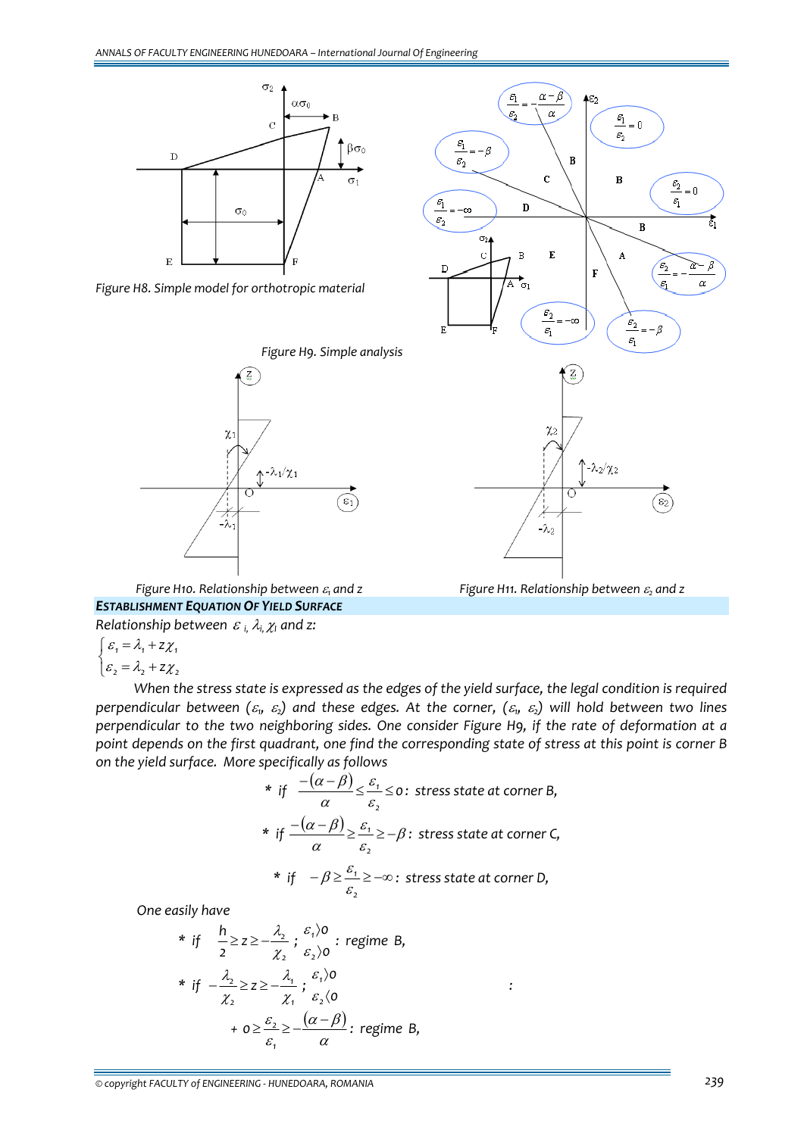

*Figure H8. Simple model for orthotropic material*





*Figure H10. Relationship between* <sup>ε</sup>*<sup>1</sup> and z Figure H11. Relationship between* <sup>ε</sup>*<sup>2</sup> and z ESTABLISHMENT EQUATION OF YIELD SURFACE*

*Relationship between* <sup>ε</sup> *i,* <sup>λ</sup>*i,*χ*<sup>I</sup> and z:*

$$
\begin{cases} \varepsilon_1 = \lambda_1 + z\chi_1 \\ \varepsilon_2 = \lambda_2 + z\chi_2 \end{cases}
$$

When the stress state is expressed as the edges of the yield surface, the legal condition is required perpendicular between  $(\varepsilon_1, \varepsilon_2)$  and these edges. At the corner,  $(\varepsilon_1, \varepsilon_2)$  will hold between two lines *perpendicular to the two neighboring sides. One consider Figure H9, if the rate of deformation at a* point depends on the first quadrant, one find the corresponding state of stress at this point is corner B *on the yield surface. More specifically as follows*

\* if 
$$
\frac{-(\alpha - \beta)}{\alpha} \le \frac{\varepsilon_1}{\varepsilon_2} \le 0
$$
: stress state at corner B,  
\n\* if  $\frac{-(\alpha - \beta)}{\alpha} \ge \frac{\varepsilon_1}{\varepsilon_2} \ge -\beta$ : stress state at corner C,  
\n\* if  $-\beta \ge \frac{\varepsilon_1}{\varepsilon_2} \ge -\infty$ : stress state at corner D,

*One easily have*

\* if 
$$
\frac{h}{2} \ge z \ge -\frac{\lambda_2}{\chi_2}
$$
;  $\frac{\varepsilon_1}{\varepsilon_2}$  or  $\frac{\varepsilon_1}{\varepsilon_2}$  is  $\frac{\varepsilon_1}{\varepsilon_2}$ .\n  
\n\* if  $-\frac{\lambda_2}{\chi_2} \ge z \ge -\frac{\lambda_1}{\chi_1}$ ;  $\frac{\varepsilon_1}{\varepsilon_2}$  ( $\frac{\varepsilon_1}{\varepsilon_2}$ )  
\n $+ 0 \ge \frac{\varepsilon_2}{\varepsilon_1} \ge -\frac{(\alpha - \beta)}{\alpha}$ ; regime B,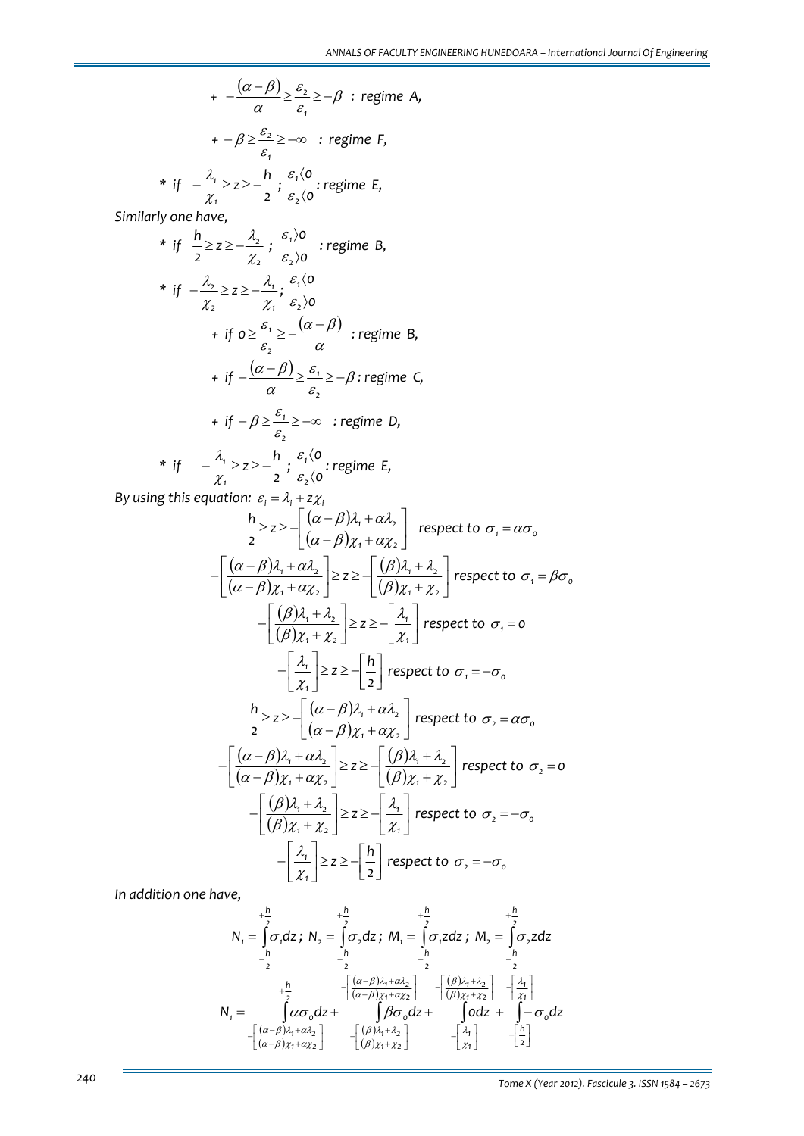$$
+ -\frac{(\alpha - \beta)}{\alpha} \ge \frac{\varepsilon_2}{\varepsilon_1} \ge -\beta \text{ : regime A,}
$$
  

$$
+ -\beta \ge \frac{\varepsilon_2}{\varepsilon_1} \ge -\infty \text{ : regime F,}
$$
  

$$
* \text{ if } -\frac{\lambda_1}{\chi_1} \ge z \ge -\frac{h}{z} \text{ ; } \frac{\varepsilon_1 \langle o \rangle}{\varepsilon_2 \langle o} \text{ : regime E,}
$$

*2*

*Similarly one have,*

*1* χ

\* if 
$$
\frac{h}{2} \ge z \ge -\frac{\lambda_2}{\chi_2}
$$
;  $\varepsilon_1$  be a real number of  $z$  is a real number of  $z$  and  $z$  is a real number of  $z$  and  $z$  is a real number of  $z$  and  $z$  is a real number of  $z$  and  $z$  is a real number of  $z$  and  $z$  is a real number of  $z$  and  $z$  is a real number of  $z$  and  $z$  is a real number of  $z$  and  $z$  is a real number of  $z$  and  $z$  is a real number of  $z$  and  $z$  is a real number of  $z$  and  $z$  is a real number of  $z$  and  $z$  is a real number of  $z$  and  $z$  is a real number of  $z$  and  $z$  is a real number of  $z$  and  $z$  is a real number of  $z$  and  $z$  is a real number of  $z$  and  $z$  is a real number of  $z$  and  $z$  is a real number of  $z$  and  $z$  is a real number of  $z$  and  $z$  is a real number of  $z$  and  $z$  is a real number of  $z$  and  $z$  are a real number of  $z$  and  $z$  are a real number of  $z$  and  $z$  are a real number of  $z$  and  $z$  are a real number of  $z$  and  $z$  are a real number of  $z$  and  $z$  are a real number of  $z$  and  $z$  are a real number of  $z$  and  $z$  are a real number of  $z$  and  $z$  are a real number of  $z$  and  $z$  are a real number of  $z$  and  $z$  are a real number of  $z$  and  $z$  are a real number of  $z$  and  $z$  are a real number of  $z$  and  $z$  are a real number of  $z$ 

\* if 
$$
-\frac{\lambda_1}{\chi_1} \ge z \ge -\frac{h}{2}
$$
;  $\frac{\varepsilon_1}{\varepsilon_2}$ ; regime E,

*By* using this equation:  $\varepsilon_i = \lambda_i + z\chi_i$ 

$$
\frac{h}{2} \geq z \geq -\left[ \frac{(\alpha - \beta)\lambda_1 + \alpha \lambda_2}{(\alpha - \beta)\chi_1 + \alpha \chi_2} \right] \text{ respect to } \sigma_1 = \alpha \sigma_0
$$
\n
$$
-\left[ \frac{(\alpha - \beta)\lambda_1 + \alpha \lambda_2}{(\alpha - \beta)\chi_1 + \alpha \chi_2} \right] \geq z \geq -\left[ \frac{(\beta)\lambda_1 + \lambda_2}{(\beta)\chi_1 + \chi_2} \right] \text{ respect to } \sigma_1 = \beta \sigma_0
$$
\n
$$
-\left[ \frac{(\beta)\lambda_1 + \lambda_2}{(\beta)\chi_1 + \chi_2} \right] \geq z \geq -\left[ \frac{\lambda_1}{\chi_1} \right] \text{ respect to } \sigma_1 = 0
$$
\n
$$
-\left[ \frac{\lambda_1}{\chi_1} \right] \geq z \geq -\left[ \frac{h}{2} \right] \text{ respect to } \sigma_1 = -\sigma_0
$$
\n
$$
\frac{h}{2} \geq z \geq -\left[ \frac{(\alpha - \beta)\lambda_1 + \alpha \lambda_2}{(\alpha - \beta)\chi_1 + \alpha \chi_2} \right] \text{ respect to } \sigma_2 = \alpha \sigma_0
$$
\n
$$
-\left[ \frac{(\alpha - \beta)\lambda_1 + \alpha \lambda_2}{(\alpha - \beta)\chi_1 + \alpha \chi_2} \right] \geq z \geq -\left[ \frac{(\beta)\lambda_1 + \lambda_2}{(\beta)\chi_1 + \chi_2} \right] \text{ respect to } \sigma_2 = 0
$$
\n
$$
-\left[ \frac{(\beta)\lambda_1 + \lambda_2}{(\beta)\chi_1 + \chi_2} \right] \geq z \geq -\left[ \frac{\lambda_1}{\chi_1} \right] \text{ respect to } \sigma_2 = -\sigma_0
$$
\n
$$
-\left[ \frac{\lambda_1}{\chi_1} \right] \geq z \geq -\left[ \frac{h}{2} \right] \text{ respect to } \sigma_2 = -\sigma_0
$$

*In addition one have,*

$$
N_{1} = \int_{-2}^{+\frac{h}{2}} \sigma_{1} dz \, ; \ N_{2} = \int_{-\frac{h}{2}}^{+\frac{h}{2}} \sigma_{2} dz \, ; \ M_{1} = \int_{-\frac{h}{2}}^{+\frac{h}{2}} \sigma_{1} z dz \, ; \ M_{2} = \int_{-\frac{h}{2}}^{+\frac{h}{2}} \sigma_{2} z dz
$$

$$
N_{1} = \int_{-\frac{h}{2}}^{+\frac{h}{2}} \alpha \sigma_{0} dz + \int_{-\frac{h}{2}}^{+\frac{h}{2}} \beta \sigma_{2} dz + \int_{-\frac{h}{2}}^{+\frac{h}{2}} \beta \sigma_{1} dz + \int_{-\frac{h}{2}}^{+\frac{h}{2}} \beta \sigma_{2} dz + \int_{-\frac{h}{2}}^{+\frac{h}{2}} \beta \sigma_{2} dz + \int_{-\frac{h}{2}}^{+\frac{h}{2}} \beta \sigma_{3} dz + \int_{-\frac{h}{2}}^{+\frac{h}{2}} \beta \sigma_{2} dz + \int_{-\frac{h}{2}}^{+\frac{h}{2}} \beta \sigma_{3} dz + \int_{-\frac{h}{2}}^{+\frac{h}{2}} \beta \sigma_{1} dz + \int_{-\frac{h}{2}}^{+\frac{h}{2}} \beta \sigma_{2} dz + \int_{-\frac{h}{2}}^{+\frac{h}{2}} \beta \sigma_{3} dz + \int_{-\frac{h}{2}}^{+\frac{h}{2}} \beta \sigma_{3} dz + \int_{-\frac{h}{2}}^{+\frac{h}{2}} \beta \sigma_{3} dz + \int_{-\frac{h}{2}}^{+\frac{h}{2}} \beta \sigma_{3} dz + \int_{-\frac{h}{2}}^{+\frac{h}{2}} \beta \sigma_{3} dz + \int_{-\frac{h}{2}}^{+\frac{h}{2}} \beta \sigma_{3} dz + \int_{-\frac{h}{2}}^{+\frac{h}{2}} \beta \sigma_{3} dz + \int_{-\frac{h}{2}}^{+\frac{h}{2}} \beta \sigma_{3} dz + \int_{-\frac{h}{2}}^{+\frac{h}{2}} \beta \sigma_{3} dz + \int_{-\frac{h}{2}}^{+\frac{h}{2}} \beta \sigma_{3} dz + \int_{-\frac{h}{2}}^{+\frac{h}{2}} \beta \sigma_{3} dz + \int_{-\frac{h}{2}}^{+\frac{h}{2}} \beta \sigma_{3} dz + \int_{-\frac{h}{2}}^{+\frac{h}{2}} \beta \sigma_{3} dz
$$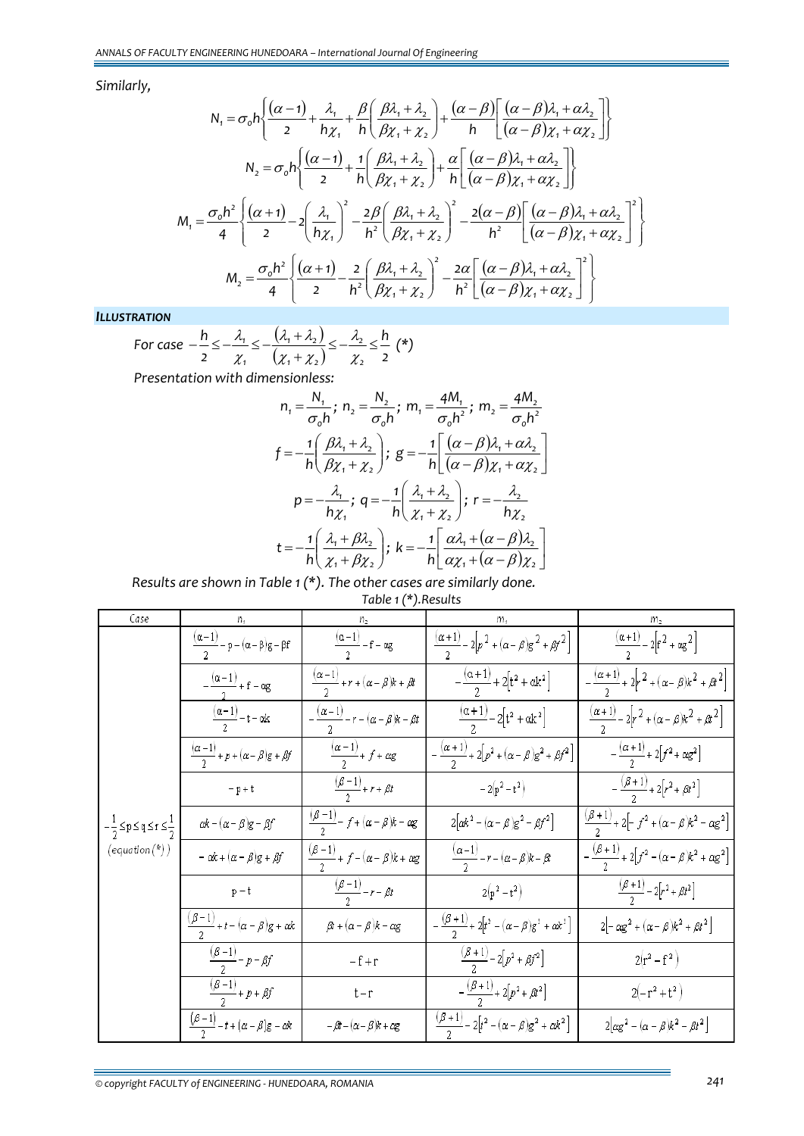*Similarly,*

$$
N_{1} = \sigma_{o} h \left\{ \frac{(\alpha - 1)}{2} + \frac{\lambda_{1}}{h\chi_{1}} + \frac{\beta}{h} \left( \frac{\beta \lambda_{1} + \lambda_{2}}{\beta \chi_{1} + \chi_{2}} \right) + \frac{(\alpha - \beta)}{h} \left[ \frac{(\alpha - \beta)\lambda_{1} + \alpha \lambda_{2}}{(\alpha - \beta)\chi_{1} + \alpha \chi_{2}} \right] \right\}
$$

$$
N_{2} = \sigma_{o} h \left\{ \frac{(\alpha - 1)}{2} + \frac{1}{h} \left( \frac{\beta \lambda_{1} + \lambda_{2}}{\beta \chi_{1} + \chi_{2}} \right) + \frac{\alpha}{h} \left[ \frac{(\alpha - \beta)\lambda_{1} + \alpha \lambda_{2}}{(\alpha - \beta)\chi_{1} + \alpha \chi_{2}} \right] \right\}
$$

$$
M_{1} = \frac{\sigma_{o} h^{2}}{4} \left\{ \frac{(\alpha + 1)}{2} - 2 \left( \frac{\lambda_{1}}{h\chi_{1}} \right)^{2} - \frac{2\beta}{h^{2}} \left( \frac{\beta \lambda_{1} + \lambda_{2}}{\beta \chi_{1} + \chi_{2}} \right)^{2} - \frac{2(\alpha - \beta)}{h^{2}} \left[ \frac{(\alpha - \beta)\lambda_{1} + \alpha \lambda_{2}}{(\alpha - \beta)\chi_{1} + \alpha \chi_{2}} \right]^{2} \right\}
$$

$$
M_{2} = \frac{\sigma_{o} h^{2}}{4} \left\{ \frac{(\alpha + 1)}{2} - \frac{2}{h^{2}} \left( \frac{\beta \lambda_{1} + \lambda_{2}}{\beta \chi_{1} + \chi_{2}} \right)^{2} - \frac{2\alpha}{h^{2}} \left[ \frac{(\alpha - \beta)\lambda_{1} + \alpha \lambda_{2}}{(\alpha - \beta)\chi_{1} + \alpha \chi_{2}} \right]^{2} \right\}
$$

*ILLUSTRATION*

For case 
$$
-\frac{h}{2} \le -\frac{\lambda_1}{\chi_1} \le -\frac{(\lambda_1 + \lambda_2)}{(\chi_1 + \chi_2)} \le -\frac{\lambda_2}{\chi_2} \le \frac{h}{2}
$$
 (\*)

*Presentation with dimensionless:*

$$
n_{1} = \frac{N_{1}}{\sigma_{0}h}; n_{2} = \frac{N_{2}}{\sigma_{0}h}; m_{1} = \frac{4M_{1}}{\sigma_{0}h^{2}}; m_{2} = \frac{4M_{2}}{\sigma_{0}h^{2}}
$$
\n
$$
f = -\frac{1}{h} \left( \frac{\beta \lambda_{1} + \lambda_{2}}{\beta \chi_{1} + \chi_{2}} \right); g = -\frac{1}{h} \left[ \frac{(\alpha - \beta)\lambda_{1} + \alpha \lambda_{2}}{(\alpha - \beta)\chi_{1} + \alpha \chi_{2}} \right]
$$
\n
$$
p = -\frac{\lambda_{1}}{h\chi_{1}}; q = -\frac{1}{h} \left( \frac{\lambda_{1} + \lambda_{2}}{\chi_{1} + \chi_{2}} \right); r = -\frac{\lambda_{2}}{h\chi_{2}}
$$
\n
$$
t = -\frac{1}{h} \left( \frac{\lambda_{1} + \beta \lambda_{2}}{\chi_{1} + \beta \chi_{2}} \right); k = -\frac{1}{h} \left[ \frac{\alpha \lambda_{1} + (\alpha - \beta)\lambda_{2}}{\alpha \chi_{1} + (\alpha - \beta)\chi_{2}} \right]
$$

*Results are shown in Table 1 (\*). The other cases are similarly done. Table 1 (\*).Results*

| Case                                                                                                         |                                                                                                                                         |                                                            |                                                                      |                                                                       |
|--------------------------------------------------------------------------------------------------------------|-----------------------------------------------------------------------------------------------------------------------------------------|------------------------------------------------------------|----------------------------------------------------------------------|-----------------------------------------------------------------------|
| $-\frac{1}{2}$ $\leq$ p $\leq$ q $\leq$ r $\leq$ $\frac{1}{2}$<br>$\left(\textit{equation}(\text{*)}\right)$ | $\frac{(\alpha-1)}{2}-p-(\alpha-\beta)g-\beta f$                                                                                        | $\frac{(\alpha-1)}{2} - f - \alpha g$                      | $\frac{(\alpha+1)}{2}-2\left[p^2+(\alpha-\beta)g^2+\beta f^2\right]$ | $\frac{(\alpha+1)}{2}-2\Big[f^2+\alpha g^2\Big]$                      |
|                                                                                                              | $-\frac{(\alpha-1)}{2}+f-\alpha g$                                                                                                      | $\frac{(\alpha-1)}{2}+r+(\alpha-\beta)k+\beta t$           | $-\frac{(\alpha+1)}{2}+2[t^2+\alpha k^2]$                            | $-\frac{(\alpha+1)}{2}+2\left[r^2+(\alpha-\beta)k^2+\beta k^2\right]$ |
|                                                                                                              | $\frac{(\alpha-1)}{2}-t-\alpha k$                                                                                                       | $-\frac{(\alpha-1)}{2}-r-(\alpha-\beta)k-\beta t$          | $\frac{(\alpha+1)}{2}-2[t^2+\alpha k^2]$                             | $\frac{(\alpha+1)}{2} - 2r^2 + (\alpha - \beta)k^2 + \beta k^2$       |
|                                                                                                              | $\frac{(\alpha-1)}{2} + p + (\alpha - \beta)g + \beta f$                                                                                | $\frac{(\alpha-1)}{2}$ + f + $\alpha$ g                    | $-\frac{(\alpha+1)}{2}+2[p^2+(\alpha-\beta)g^2+\beta f^2]$           | $-\frac{(\alpha+1)}{2}+2[f^2+\alpha g^2]$                             |
|                                                                                                              | $\vdash p+t$                                                                                                                            | $\frac{(\beta-1)}{2}$ + r + $\beta t$                      | $-2(p^2-t^2)$                                                        | $-\frac{(\beta+1)}{2}+2[r^2+\beta t^2]$                               |
|                                                                                                              | $\alpha\hspace{-0.6mm}/\hspace{-0.6mm} \kappa - (\alpha - \beta) \hspace{-0.6mm} \varepsilon - \beta \hspace{-0.6mm}/\hspace{-0.6mm} f$ | $\frac{(\beta-1)}{2}$ - f + $(\alpha - \beta)k - \alpha g$ | $2\big[\alpha k^2-(\alpha-\beta)g^2-\beta f^2\big]$                  | $\frac{(\beta+1)}{2}$ + 2 - $f^2$ + $(\alpha-\beta)k^2 - \alpha g^2$  |
|                                                                                                              | $-\alpha k + (\alpha - \beta)g + \beta f$                                                                                               | $\frac{(\beta-1)}{2}$ + f – $(\alpha-\beta)k + \alpha g$   | $\frac{(\alpha-1)}{2}-r-(\alpha-\beta)k-\beta t$                     | $-\frac{(\beta+1)}{2}+2[f^2-(\alpha-\beta)k^2+\alpha g^2]$            |
|                                                                                                              | $p - t$                                                                                                                                 | $\frac{(\beta-1)}{2} - r - \beta t$                        | $2(p^2-t^2)$                                                         | $\frac{(\beta+1)}{2} - 2[r^2 + \beta t^2]$                            |
|                                                                                                              | $\frac{(\beta-1)}{2}+t-(\alpha-\beta)g+\alpha k$                                                                                        | $\beta t + (\alpha - \beta)k - \alpha g$                   | $-\frac{(\beta+1)}{2}+2[t^2-(\alpha-\beta)g^2+\alpha k^2]$           | $2\left[-\alpha g^2+(\alpha-\beta)k^2+\beta t^2\right]$               |
|                                                                                                              | $\frac{(\beta-1)}{2} - p - \beta f$                                                                                                     | $-f+r$                                                     | $\frac{(\beta+1)}{2} - 2[p^2 + \beta f^2]$                           | $2(r^2 - f^2)$                                                        |
|                                                                                                              | $\frac{(\beta-1)}{2}$ + p + $\beta f$                                                                                                   | $t-r$                                                      | $-\frac{(\beta+1)}{2}+2[p^2+\beta t^2]$                              | $2(-r^2+t^2)$                                                         |
|                                                                                                              | $\frac{\left(\beta-1\right)}{\gamma}-t+\left(\alpha-\beta\right)g-\alpha k$                                                             | $-\beta t - (\alpha - \beta)k + \alpha g$                  | $\frac{(\beta+1)}{2} - 2[t^2 - (\alpha - \beta)g^2 + \alpha k^2]$    | $2\left[\alpha g^2-(\alpha-\beta)k^2-\beta t^2\right]$                |